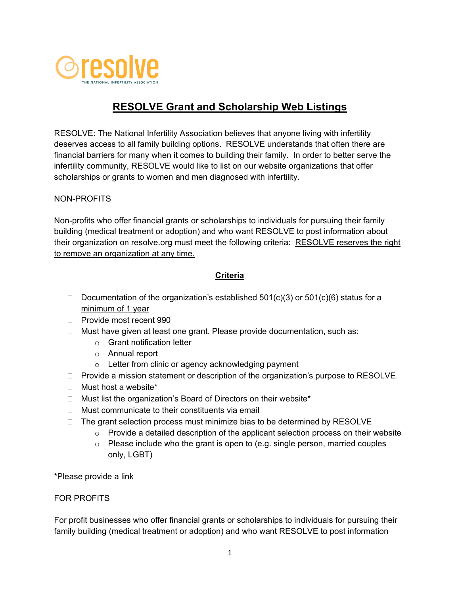

# **RESOLVE Grant and Scholarship Web Listings**

RESOLVE: The National Infertility Association believes that anyone living with infertility deserves access to all family building options. RESOLVE understands that often there are financial barriers for many when it comes to building their family. In order to better serve the infertility community, RESOLVE would like to list on our website organizations that offer scholarships or grants to women and men diagnosed with infertility.

### NON-PROFITS

Non-profits who offer financial grants or scholarships to individuals for pursuing their family building (medical treatment or adoption) and who want RESOLVE to post information about their organization on resolve.org must meet the following criteria: RESOLVE reserves the right to remove an organization at any time.

### **Criteria**

- Documentation of the organization's established  $501(c)(3)$  or  $501(c)(6)$  status for a minimum of 1 year
- □ Provide most recent 990
- $\Box$  Must have given at least one grant. Please provide documentation, such as:
	- o Grant notification letter
	- o Annual report
	- o Letter from clinic or agency acknowledging payment
- $\Box$  Provide a mission statement or description of the organization's purpose to RESOLVE.
- Must host a website\*
- $\Box$  Must list the organization's Board of Directors on their website\*
- $\Box$  Must communicate to their constituents via email
- $\Box$  The grant selection process must minimize bias to be determined by RESOLVE
	- $\circ$  Provide a detailed description of the applicant selection process on their website
	- $\circ$  Please include who the grant is open to (e.g. single person, married couples only, LGBT)

\*Please provide a link

#### FOR PROFITS

For profit businesses who offer financial grants or scholarships to individuals for pursuing their family building (medical treatment or adoption) and who want RESOLVE to post information